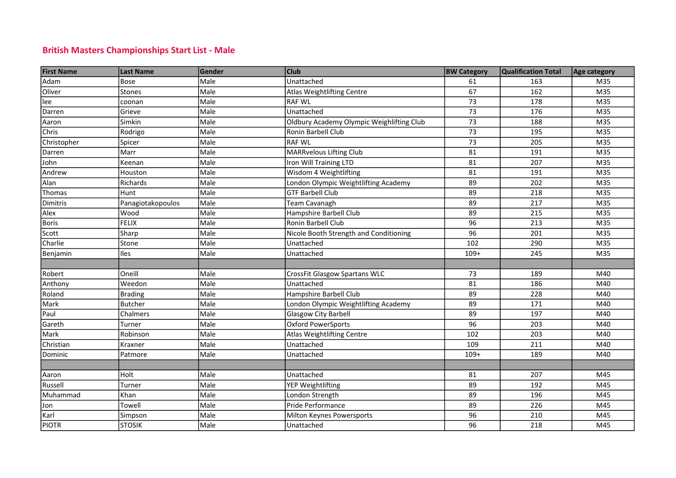## British Masters Championships Start List - Male

| <b>First Name</b> | <b>Last Name</b>  | Gender | <b>Club</b>                               | <b>BW Category</b> | <b>Qualification Total</b> | Age category |
|-------------------|-------------------|--------|-------------------------------------------|--------------------|----------------------------|--------------|
| Adam              | <b>Bose</b>       | Male   | Unattached                                | 61                 | 163                        | M35          |
| Oliver            | <b>Stones</b>     | Male   | Atlas Weightlifting Centre                | 67                 | 162                        | M35          |
| lee               | coonan            | Male   | <b>RAF WL</b>                             | 73                 | 178                        | M35          |
| Darren            | Grieve            | Male   | Unattached                                | 73                 | 176                        | M35          |
| Aaron             | Simkin            | Male   | Oldbury Academy Olympic Weighlifting Club | 73                 | 188                        | M35          |
| Chris             | Rodrigo           | Male   | Ronin Barbell Club                        | 73                 | 195                        | M35          |
| Christopher       | Spicer            | Male   | <b>RAF WL</b>                             | 73                 | 205                        | M35          |
| Darren            | Marr              | Male   | <b>MARRvelous Lifting Club</b>            | 81                 | 191                        | M35          |
| John              | Keenan            | Male   | Iron Will Training LTD                    | 81                 | 207                        | M35          |
| Andrew            | Houston           | Male   | Wisdom 4 Weightlifting                    | 81                 | 191                        | M35          |
| Alan              | Richards          | Male   | London Olympic Weightlifting Academy      | 89                 | 202                        | M35          |
| Thomas            | Hunt              | Male   | <b>GTF Barbell Club</b>                   | 89                 | 218                        | M35          |
| Dimitris          | Panagiotakopoulos | Male   | Team Cavanagh                             | 89                 | 217                        | M35          |
| Alex              | Wood              | Male   | Hampshire Barbell Club                    | 89                 | 215                        | M35          |
| <b>Boris</b>      | <b>FELIX</b>      | Male   | Ronin Barbell Club                        | 96                 | 213                        | M35          |
| Scott             | Sharp             | Male   | Nicole Booth Strength and Conditioning    | 96                 | 201                        | M35          |
| Charlie           | Stone             | Male   | Unattached                                | 102                | 290                        | M35          |
| Benjamin          | Iles              | Male   | Unattached                                | $109+$             | 245                        | M35          |
|                   |                   |        |                                           |                    |                            |              |
| Robert            | Oneill            | Male   | <b>CrossFit Glasgow Spartans WLC</b>      | 73                 | 189                        | M40          |
| Anthony           | Weedon            | Male   | Unattached                                | 81                 | 186                        | M40          |
| Roland            | <b>Brading</b>    | Male   | Hampshire Barbell Club                    | 89                 | 228                        | M40          |
| Mark              | <b>Butcher</b>    | Male   | London Olympic Weightlifting Academy      | 89                 | 171                        | M40          |
| Paul              | Chalmers          | Male   | Glasgow City Barbell                      | 89                 | 197                        | M40          |
| Gareth            | Turner            | Male   | <b>Oxford PowerSports</b>                 | 96                 | 203                        | M40          |
| Mark              | Robinson          | Male   | Atlas Weightlifting Centre                | 102                | 203                        | M40          |
| Christian         | Kraxner           | Male   | Unattached                                | 109                | 211                        | M40          |
| Dominic           | Patmore           | Male   | Unattached                                | $109+$             | 189                        | M40          |
|                   |                   |        |                                           |                    |                            |              |
| Aaron             | Holt              | Male   | Unattached                                | 81                 | 207                        | M45          |
| Russell           | Turner            | Male   | YEP Weightlifting                         | 89                 | 192                        | M45          |
| Muhammad          | Khan              | Male   | London Strength                           | 89                 | 196                        | M45          |
| Jon               | Towell            | Male   | Pride Performance                         | 89                 | 226                        | M45          |
| Karl              | Simpson           | Male   | Milton Keynes Powersports                 | 96                 | 210                        | M45          |
| <b>PIOTR</b>      | <b>STOSIK</b>     | Male   | Unattached                                | 96                 | 218                        | M45          |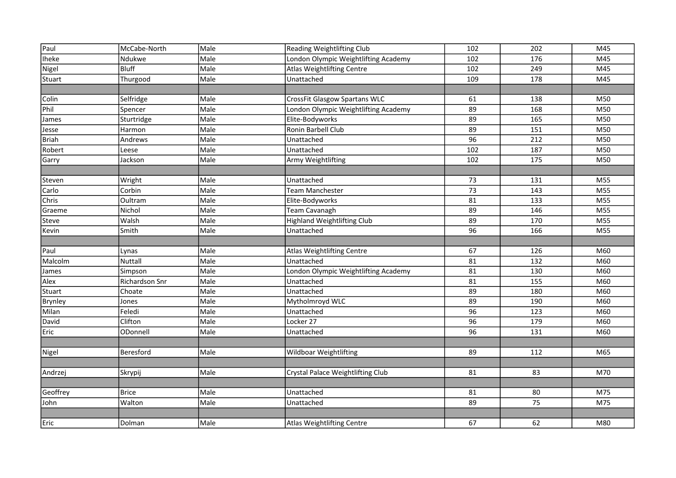| 102 |     |     |
|-----|-----|-----|
|     | 202 | M45 |
| 102 | 176 | M45 |
| 102 | 249 | M45 |
| 109 | 178 | M45 |
|     |     |     |
| 61  | 138 | M50 |
| 89  | 168 | M50 |
| 89  | 165 | M50 |
| 89  | 151 | M50 |
| 96  | 212 | M50 |
| 102 | 187 | M50 |
| 102 | 175 | M50 |
|     |     |     |
| 73  | 131 | M55 |
| 73  | 143 | M55 |
|     | 133 | M55 |
| 81  |     |     |
| 89  | 146 | M55 |
| 89  | 170 | M55 |
| 96  | 166 | M55 |
|     |     |     |
| 67  | 126 | M60 |
| 81  | 132 | M60 |
| 81  | 130 | M60 |
| 81  | 155 | M60 |
| 89  | 180 | M60 |
| 89  | 190 | M60 |
| 96  | 123 | M60 |
| 96  | 179 | M60 |
| 96  | 131 | M60 |
|     |     |     |
| 89  | 112 | M65 |
|     |     |     |
| 81  | 83  | M70 |
|     |     |     |
| 81  | 80  | M75 |
| 89  | 75  | M75 |
|     |     |     |
|     |     |     |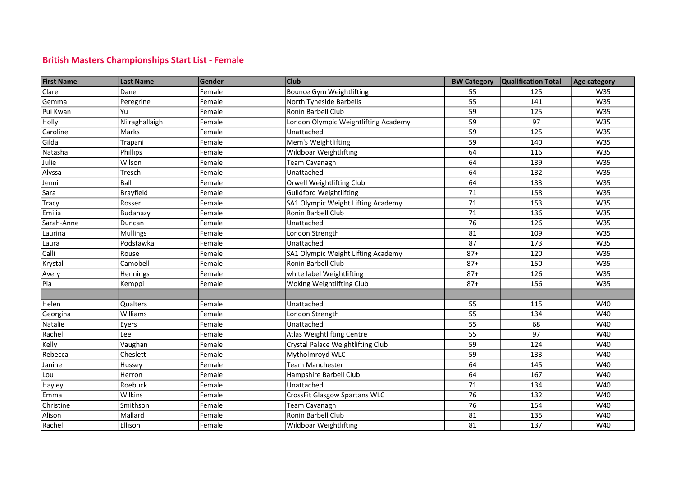## British Masters Championships Start List - Female

| <b>First Name</b> | <b>Last Name</b> | Gender | <b>Club</b>                          | <b>BW Category</b> | Qualification Total | Age category |
|-------------------|------------------|--------|--------------------------------------|--------------------|---------------------|--------------|
| Clare             | Dane             | Female | <b>Bounce Gym Weightlifting</b>      | 55                 | 125                 | W35          |
| Gemma             | Peregrine        | Female | North Tyneside Barbells              | 55                 | 141                 | W35          |
| Pui Kwan          | Yu               | Female | Ronin Barbell Club                   | 59                 | 125                 | W35          |
| Holly             | Ni raghallaigh   | Female | London Olympic Weightlifting Academy | 59                 | 97                  | W35          |
| Caroline          | Marks            | Female | Unattached                           | 59                 | 125                 | W35          |
| Gilda             | Trapani          | Female | Mem's Weightlifting                  | 59                 | 140                 | W35          |
| Natasha           | Phillips         | Female | Wildboar Weightlifting               | 64                 | 116                 | W35          |
| Julie             | Wilson           | Female | Team Cavanagh                        | 64                 | 139                 | W35          |
| Alyssa            | Tresch           | Female | Unattached                           | 64                 | 132                 | W35          |
| Jenni             | Ball             | Female | Orwell Weightlifting Club            | 64                 | 133                 | W35          |
| Sara              | Brayfield        | Female | <b>Guildford Weightlifting</b>       | 71                 | 158                 | W35          |
| Tracy             | Rosser           | Female | SA1 Olympic Weight Lifting Academy   | 71                 | 153                 | W35          |
| Emilia            | Budahazy         | Female | Ronin Barbell Club                   | 71                 | 136                 | W35          |
| Sarah-Anne        | Duncan           | Female | Unattached                           | 76                 | 126                 | W35          |
| Laurina           | <b>Mullings</b>  | Female | London Strength                      | 81                 | 109                 | W35          |
| Laura             | Podstawka        | Female | Unattached                           | 87                 | 173                 | W35          |
| Calli             | Rouse            | Female | SA1 Olympic Weight Lifting Academy   | $87+$              | 120                 | W35          |
| Krystal           | Camobell         | Female | Ronin Barbell Club                   | $87+$              | 150                 | W35          |
| Avery             | Hennings         | Female | white label Weightlifting            | $87+$              | 126                 | W35          |
| Pia               | Kemppi           | Female | Woking Weightlifting Club            | $87+$              | 156                 | W35          |
|                   |                  |        |                                      |                    |                     |              |
| Helen             | Qualters         | Female | Unattached                           | 55                 | 115                 | W40          |
| Georgina          | Williams         | Female | London Strength                      | 55                 | 134                 | W40          |
| Natalie           | Eyers            | Female | Unattached                           | 55                 | 68                  | W40          |
| Rachel            | Lee              | Female | <b>Atlas Weightlifting Centre</b>    | 55                 | 97                  | W40          |
| Kelly             | Vaughan          | Female | Crystal Palace Weightlifting Club    | 59                 | 124                 | W40          |
| Rebecca           | Cheslett         | Female | Mytholmroyd WLC                      | 59                 | 133                 | W40          |
| Janine            | Hussey           | Female | <b>Team Manchester</b>               | 64                 | 145                 | W40          |
| Lou               | Herron           | Female | Hampshire Barbell Club               | 64                 | 167                 | W40          |
| Hayley            | Roebuck          | Female | Unattached                           | 71                 | 134                 | W40          |
| Emma              | <b>Wilkins</b>   | Female | CrossFit Glasgow Spartans WLC        | 76                 | 132                 | W40          |
| Christine         | Smithson         | Female | Team Cavanagh                        | 76                 | 154                 | W40          |
| Alison            | Mallard          | Female | Ronin Barbell Club                   | 81                 | 135                 | W40          |
| Rachel            | Ellison          | Female | <b>Wildboar Weightlifting</b>        | 81                 | 137                 | W40          |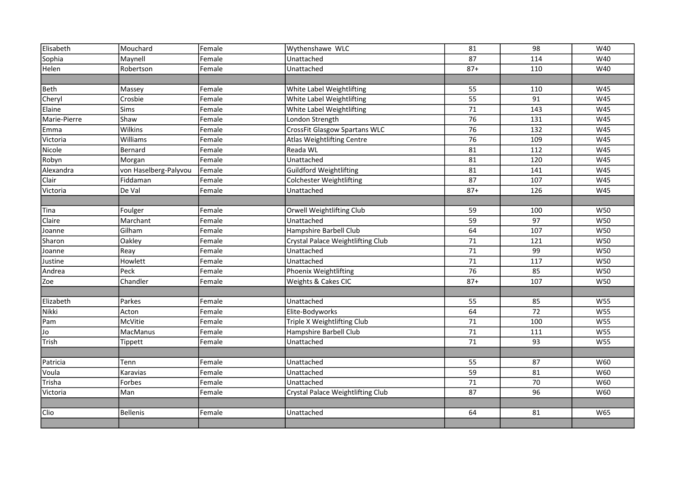| Elisabeth    | Mouchard              | Female | Wythenshawe WLC                      | 81              | 98  | W40        |
|--------------|-----------------------|--------|--------------------------------------|-----------------|-----|------------|
| Sophia       | Maynell               | Female | Unattached                           | 87              | 114 | W40        |
| Helen        | Robertson             | Female | Unattached                           | $87 +$          | 110 | W40        |
|              |                       |        |                                      |                 |     |            |
| Beth         | Massey                | Female | White Label Weightlifting            | 55              | 110 | W45        |
| Cheryl       | Crosbie               | Female | White Label Weightlifting            | $\overline{55}$ | 91  | W45        |
| Elaine       | Sims                  | Female | White Label Weightlifting            | 71              | 143 | W45        |
| Marie-Pierre | Shaw                  | Female | London Strength                      | 76              | 131 | W45        |
| Emma         | <b>Wilkins</b>        | Female | <b>CrossFit Glasgow Spartans WLC</b> | $\overline{76}$ | 132 | W45        |
| Victoria     | Williams              | Female | Atlas Weightlifting Centre           | 76              | 109 | W45        |
| Nicole       | Bernard               | Female | Reada WL                             | 81              | 112 | W45        |
| Robyn        | Morgan                | Female | Unattached                           | 81              | 120 | W45        |
| Alexandra    | von Haselberg-Palyvou | Female | Guildford Weightlifting              | 81              | 141 | W45        |
| Clair        | Fiddaman              | Female | <b>Colchester Weightlifting</b>      | 87              | 107 | W45        |
| Victoria     | De Val                | Female | Unattached                           | $87+$           | 126 | W45        |
|              |                       |        |                                      |                 |     |            |
| Tina         | Foulger               | Female | Orwell Weightlifting Club            | 59              | 100 | W50        |
| Claire       | Marchant              | Female | Unattached                           | 59              | 97  | W50        |
| Joanne       | Gilham                | Female | Hampshire Barbell Club               | 64              | 107 | W50        |
| Sharon       | Oakley                | Female | Crystal Palace Weightlifting Club    | 71              | 121 | W50        |
| Joanne       | Reay                  | Female | Unattached                           | 71              | 99  | W50        |
| Justine      | Howlett               | Female | Unattached                           | 71              | 117 | W50        |
| Andrea       | Peck                  | Female | Phoenix Weightlifting                | 76              | 85  | W50        |
| Zoe          | Chandler              | Female | Weights & Cakes CIC                  | $87 +$          | 107 | W50        |
|              |                       |        |                                      |                 |     |            |
| Elizabeth    | Parkes                | Female | Unattached                           | 55              | 85  | W55        |
| Nikki        | Acton                 | Female | Elite-Bodyworks                      | 64              | 72  | W55        |
| Pam          | <b>McVitie</b>        | Female | Triple X Weightlifting Club          | 71              | 100 | <b>W55</b> |
| Jo           | <b>MacManus</b>       | Female | Hampshire Barbell Club               | 71              | 111 | <b>W55</b> |
| Trish        | <b>Tippett</b>        | Female | Unattached                           | 71              | 93  | W55        |
|              |                       |        |                                      |                 |     |            |
| Patricia     | Tenn                  | Female | Unattached                           | 55              | 87  | W60        |
| Voula        | Karavias              | Female | Unattached                           | 59              | 81  | W60        |
| Trisha       | Forbes                | Female | Unattached                           | 71              | 70  | W60        |
| Victoria     | Man                   | Female | Crystal Palace Weightlifting Club    | 87              | 96  | W60        |
|              |                       |        |                                      |                 |     |            |
| <b>Clio</b>  | <b>Bellenis</b>       | Female | Unattached                           | 64              | 81  | W65        |
|              |                       |        |                                      |                 |     |            |